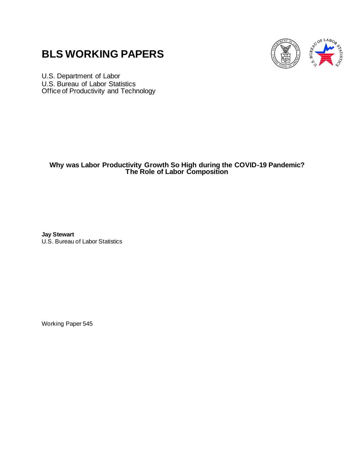# **BLS WORKING PAPERS**



U.S. Department of Labor U.S. Bureau of Labor Statistics Office of Productivity and Technology

## **Why was Labor Productivity Growth So High during the COVID-19 Pandemic? The Role of Labor Composition**

**Jay Stewart** 

U.S. Bureau of Labor Statistics

Working Paper 545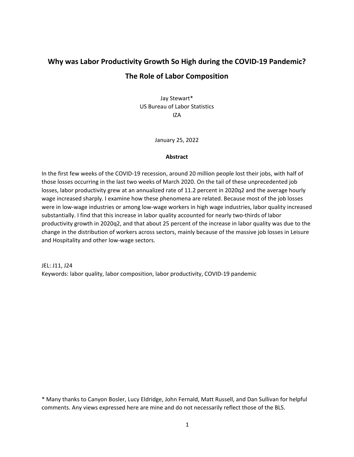# **Why was Labor Productivity Growth So High during the COVID-19 Pandemic? The Role of Labor Composition**

Jay Stewart\* US Bureau of Labor Statistics IZA

January 25, 2022

#### **Abstract**

In the first few weeks of the COVID-19 recession, around 20 million people lost their jobs, with half of those losses occurring in the last two weeks of March 2020. On the tail of these unprecedented job losses, labor productivity grew at an annualized rate of 11.2 percent in 2020q2 and the average hourly wage increased sharply. I examine how these phenomena are related. Because most of the job losses were in low-wage industries or among low-wage workers in high wage industries, labor quality increased substantially. I find that this increase in labor quality accounted for nearly two-thirds of labor productivity growth in 2020q2, and that about 25 percent of the increase in labor quality was due to the change in the distribution of workers across sectors, mainly because of the massive job losses in Leisure and Hospitality and other low-wage sectors.

JEL: J11, J24 Keywords: labor quality, labor composition, labor productivity, COVID-19 pandemic

\* Many thanks to Canyon Bosler, Lucy Eldridge, John Fernald, Matt Russell, and Dan Sullivan for helpful comments. Any views expressed here are mine and do not necessarily reflect those of the BLS.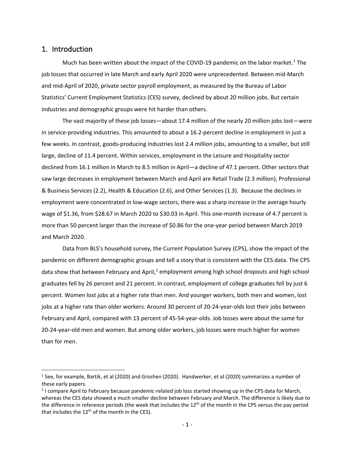### 1. Introduction

Much has been written about the impact of the COVID-[1](#page-2-0)9 pandemic on the labor market.<sup>1</sup> The job losses that occurred in late March and early April 2020 were unprecedented. Between mid-March and mid-April of 2020, private sector payroll employment, as measured by the Bureau of Labor Statistics' Current Employment Statistics (CES) survey, declined by about 20 million jobs. But certain industries and demographic groups were hit harder than others.

The vast majority of these job losses—about 17.4 million of the nearly 20 million jobs lost—were in service-providing industries. This amounted to about a 16.2-percent decline in employment in just a few weeks. In contrast, goods-producing industries lost 2.4 million jobs, amounting to a smaller, but still large, decline of 11.4 percent. Within services, employment in the Leisure and Hospitality sector declined from 16.1 million in March to 8.5 million in April—a decline of 47.1 percent. Other sectors that saw large decreases in employment between March and April are Retail Trade (2.3 million), Professional & Business Services (2.2), Health & Education (2.6), and Other Services (1.3). Because the declines in employment were concentrated in low-wage sectors, there was a sharp increase in the average hourly wage of \$1.36, from \$28.67 in March 2020 to \$30.03 in April. This one-month increase of 4.7 percent is more than 50 percent larger than the increase of \$0.86 for the one-year period between March 2019 and March 2020.

Data from BLS's household survey, the Current Population Survey (CPS), show the impact of the pandemic on different demographic groups and tell a story that is consistent with the CES data. The CPS data show that between February and April, $<sup>2</sup>$  $<sup>2</sup>$  $<sup>2</sup>$  employment among high school dropouts and high school</sup> graduates fell by 26 percent and 21 percent. In contrast, employment of college graduates fell by just 6 percent. Women lost jobs at a higher rate than men. And younger workers, both men and women, lost jobs at a higher rate than older workers. Around 30 percent of 20-24-year-olds lost their jobs between February and April, compared with 13 percent of 45-54-year-olds. Job losses were about the same for 20-24-year-old men and women. But among older workers, job losses were much higher for women than for men.

<span id="page-2-0"></span><sup>1</sup> See, for example, Bartik, et al (2020) and Groshen (2020). Handwerker, et al (2020) summarizes a number of these early papers.

<span id="page-2-1"></span><sup>2</sup> I compare April to February because pandemic-related job loss started showing up in the CPS data for March, whereas the CES data showed a much smaller decline between February and March. The difference is likely due to the difference in reference periods (the week that includes the  $12<sup>th</sup>$  of the month in the CPS versus the pay period that includes the  $12<sup>th</sup>$  of the month in the CES).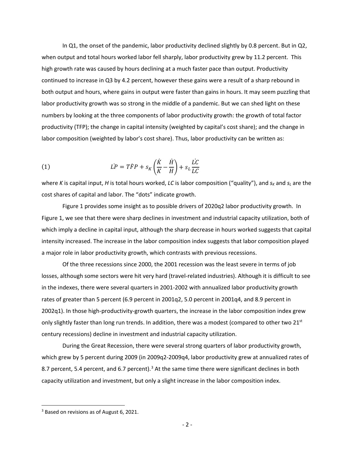In Q1, the onset of the pandemic, labor productivity declined slightly by 0.8 percent. But in Q2, when output and total hours worked labor fell sharply, labor productivity grew by 11.2 percent. This high growth rate was caused by hours declining at a much faster pace than output. Productivity continued to increase in Q3 by 4.2 percent, however these gains were a result of a sharp rebound in both output and hours, where gains in output were faster than gains in hours. It may seem puzzling that labor productivity growth was so strong in the middle of a pandemic. But we can shed light on these numbers by looking at the three components of labor productivity growth: the growth of total factor productivity (TFP); the change in capital intensity (weighted by capital's cost share); and the change in labor composition (weighted by labor's cost share). Thus, labor productivity can be written as:

(1) 
$$
LP = T\ddot{F}P + s_K \left(\frac{\dot{K}}{K} - \frac{\dot{H}}{H}\right) + s_L \frac{\dot{L}C}{LC}
$$

where *K* is capital input, *H* is total hours worked, *LC* is labor composition ("quality"), and  $s_k$  and  $s_l$  are the cost shares of capital and labor. The "dots" indicate growth.

Figure 1 provides some insight as to possible drivers of 2020q2 labor productivity growth. In Figure 1, we see that there were sharp declines in investment and industrial capacity utilization, both of which imply a decline in capital input, although the sharp decrease in hours worked suggests that capital intensity increased. The increase in the labor composition index suggests that labor composition played a major role in labor productivity growth, which contrasts with previous recessions.

Of the three recessions since 2000, the 2001 recession was the least severe in terms of job losses, although some sectors were hit very hard (travel-related industries). Although it is difficult to see in the indexes, there were several quarters in 2001-2002 with annualized labor productivity growth rates of greater than 5 percent (6.9 percent in 2001q2, 5.0 percent in 2001q4, and 8.9 percent in 2002q1). In those high-productivity-growth quarters, the increase in the labor composition index grew only slightly faster than long run trends. In addition, there was a modest (compared to other two 21st century recessions) decline in investment and industrial capacity utilization.

During the Great Recession, there were several strong quarters of labor productivity growth, which grew by 5 percent during 2009 (in 2009q2-2009q4, labor productivity grew at annualized rates of 8.7 percent, 5.4 percent, and 6.7 percent).<sup>[3](#page-3-0)</sup> At the same time there were significant declines in both capacity utilization and investment, but only a slight increase in the labor composition index.

<span id="page-3-0"></span><sup>&</sup>lt;sup>3</sup> Based on revisions as of August 6, 2021.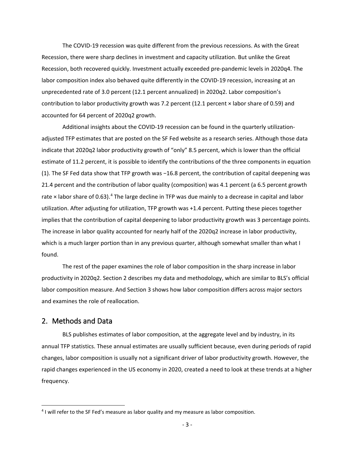The COVID-19 recession was quite different from the previous recessions. As with the Great Recession, there were sharp declines in investment and capacity utilization. But unlike the Great Recession, both recovered quickly. Investment actually exceeded pre-pandemic levels in 2020q4. The labor composition index also behaved quite differently in the COVID-19 recession, increasing at an unprecedented rate of 3.0 percent (12.1 percent annualized) in 2020q2. Labor composition's contribution to labor productivity growth was 7.2 percent (12.1 percent × labor share of 0.59) and accounted for 64 percent of 2020q2 growth.

Additional insights about the COVID-19 recession can be found in the quarterly utilizationadjusted TFP estimates that are posted on the SF Fed website as a research series. Although those data indicate that 2020q2 labor productivity growth of "only" 8.5 percent, which is lower than the official estimate of 11.2 percent, it is possible to identify the contributions of the three components in equation (1). The SF Fed data show that TFP growth was −16.8 percent, the contribution of capital deepening was 21.4 percent and the contribution of labor quality (composition) was 4.1 percent (a 6.5 percent growth rate  $\times$  labor share of 0.63).<sup>[4](#page-4-0)</sup> The large decline in TFP was due mainly to a decrease in capital and labor utilization. After adjusting for utilization, TFP growth was +1.4 percent. Putting these pieces together implies that the contribution of capital deepening to labor productivity growth was 3 percentage points. The increase in labor quality accounted for nearly half of the 2020q2 increase in labor productivity, which is a much larger portion than in any previous quarter, although somewhat smaller than what I found.

The rest of the paper examines the role of labor composition in the sharp increase in labor productivity in 2020q2. Section 2 describes my data and methodology, which are similar to BLS's official labor composition measure. And Section 3 shows how labor composition differs across major sectors and examines the role of reallocation.

### 2. Methods and Data

BLS publishes estimates of labor composition, at the aggregate level and by industry, in its annual TFP statistics. These annual estimates are usually sufficient because, even during periods of rapid changes, labor composition is usually not a significant driver of labor productivity growth. However, the rapid changes experienced in the US economy in 2020, created a need to look at these trends at a higher frequency.

<span id="page-4-0"></span><sup>&</sup>lt;sup>4</sup> I will refer to the SF Fed's measure as labor quality and my measure as labor composition.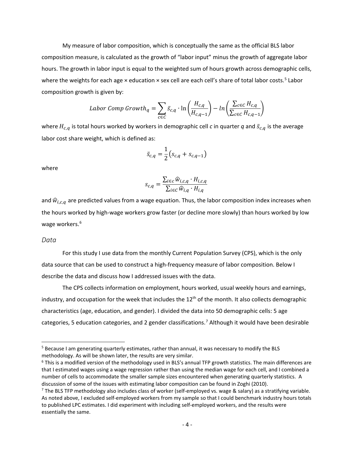My measure of labor composition, which is conceptually the same as the official BLS labor composition measure, is calculated as the growth of "labor input" minus the growth of aggregate labor hours. The growth in labor input is equal to the weighted sum of hours growth across demographic cells, where the weights for each age x education x sex cell are each cell's share of total labor costs.<sup>[5](#page-5-0)</sup> Labor composition growth is given by:

$$
Labor Comp Growth_q = \sum_{c \in C} \bar{s}_{c,q} \cdot \ln\left(\frac{H_{c,q}}{H_{c,q-1}}\right) - \ln\left(\frac{\sum_{c \in C} H_{c,q}}{\sum_{c \in C} H_{c,q-1}}\right)
$$

where  $H_{c,q}$  is total hours worked by workers in demographic cell *c* in quarter  $q$  and  $\bar{s}_{c,q}$  is the average labor cost share weight, which is defined as:

$$
\bar{s}_{c,q} = \frac{1}{2} (s_{c,q} + s_{c,q-1})
$$

where

$$
s_{c,q} = \frac{\sum_{i \in c} \widehat{w}_{i,c,q} \cdot H_{i,c,q}}{\sum_{i \in c} \widehat{w}_{i,q} \cdot H_{i,q}}
$$

and  $\widehat{w}_{i,c,q}$  are predicted values from a wage equation. Thus, the labor composition index increases when the hours worked by high-wage workers grow faster (or decline more slowly) than hours worked by low wage workers.<sup>[6](#page-5-1)</sup>

#### *Data*

For this study I use data from the monthly Current Population Survey (CPS), which is the only data source that can be used to construct a high-frequency measure of labor composition. Below I describe the data and discuss how I addressed issues with the data.

The CPS collects information on employment, hours worked, usual weekly hours and earnings, industry, and occupation for the week that includes the 12<sup>th</sup> of the month. It also collects demographic characteristics (age, education, and gender). I divided the data into 50 demographic cells: 5 age categories, 5 education categories, and 2 gender classifications.<sup>[7](#page-5-2)</sup> Although it would have been desirable

<span id="page-5-0"></span><sup>&</sup>lt;sup>5</sup> Because I am generating quarterly estimates, rather than annual, it was necessary to modify the BLS methodology. As will be shown later, the results are very similar.

<span id="page-5-1"></span> $6$  This is a modified version of the methodology used in BLS's annual TFP growth statistics. The main differences are that I estimated wages using a wage regression rather than using the median wage for each cell, and I combined a number of cells to accommodate the smaller sample sizes encountered when generating quarterly statistics. A discussion of some of the issues with estimating labor composition can be found in Zoghi (2010).

<span id="page-5-2"></span> $7$  The BLS TFP methodology also includes class of worker (self-employed vs. wage & salary) as a stratifying variable. As noted above, I excluded self-employed workers from my sample so that I could benchmark industry hours totals to published LPC estimates. I did experiment with including self-employed workers, and the results were essentially the same.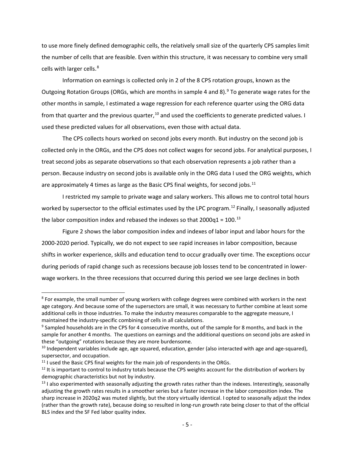to use more finely defined demographic cells, the relatively small size of the quarterly CPS samples limit the number of cells that are feasible. Even within this structure, it was necessary to combine very small cells with larger cells.<sup>[8](#page-6-0)</sup>

Information on earnings is collected only in 2 of the 8 CPS rotation groups, known as the Outgoing Rotation Groups (ORGs, which are months in sample 4 and 8).<sup>[9](#page-6-1)</sup> To generate wage rates for the other months in sample, I estimated a wage regression for each reference quarter using the ORG data from that quarter and the previous quarter,<sup>[10](#page-6-2)</sup> and used the coefficients to generate predicted values. I used these predicted values for all observations, even those with actual data.

The CPS collects hours worked on second jobs every month. But industry on the second job is collected only in the ORGs, and the CPS does not collect wages for second jobs. For analytical purposes, I treat second jobs as separate observations so that each observation represents a job rather than a person. Because industry on second jobs is available only in the ORG data I used the ORG weights, which are approximately 4 times as large as the Basic CPS final weights, for second jobs. $11$ 

I restricted my sample to private wage and salary workers. This allows me to control total hours worked by supersector to the official estimates used by the LPC program.<sup>[12](#page-6-4)</sup> Finally, I seasonally adjusted the labor composition index and rebased the indexes so that  $2000q1 = 100$ .<sup>[13](#page-6-5)</sup>

Figure 2 shows the labor composition index and indexes of labor input and labor hours for the 2000-2020 period. Typically, we do not expect to see rapid increases in labor composition, because shifts in worker experience, skills and education tend to occur gradually over time. The exceptions occur during periods of rapid change such as recessions because job losses tend to be concentrated in lowerwage workers. In the three recessions that occurred during this period we see large declines in both

<span id="page-6-0"></span><sup>&</sup>lt;sup>8</sup> For example, the small number of young workers with college degrees were combined with workers in the next age category. And because some of the supersectors are small, it was necessary to further combine at least some additional cells in those industries. To make the industry measures comparable to the aggregate measure, I maintained the industry-specific combining of cells in all calculations.

<span id="page-6-1"></span><sup>&</sup>lt;sup>9</sup> Sampled households are in the CPS for 4 consecutive months, out of the sample for 8 months, and back in the sample for another 4 months. The questions on earnings and the additional questions on second jobs are asked in these "outgoing" rotations because they are more burdensome.

<span id="page-6-2"></span><sup>&</sup>lt;sup>10</sup> Independent variables include age, age squared, education, gender (also interacted with age and age-squared), supersector, and occupation.

<span id="page-6-4"></span><span id="page-6-3"></span><sup>&</sup>lt;sup>11</sup> I used the Basic CPS final weights for the main job of respondents in the ORGs.<br><sup>12</sup> It is important to control to industry totals because the CPS weights account for the distribution of workers by demographic characteristics but not by industry.

<span id="page-6-5"></span> $<sup>13</sup>$  I also experimented with seasonally adjusting the growth rates rather than the indexes. Interestingly, seasonally</sup> adjusting the growth rates results in a smoother series but a faster increase in the labor composition index. The sharp increase in 2020q2 was muted slightly, but the story virtually identical. I opted to seasonally adjust the index (rather than the growth rate), because doing so resulted in long-run growth rate being closer to that of the official BLS index and the SF Fed labor quality index.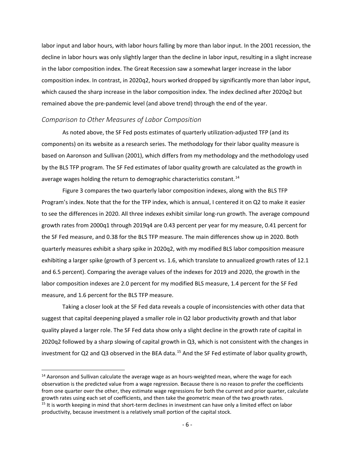labor input and labor hours, with labor hours falling by more than labor input. In the 2001 recession, the decline in labor hours was only slightly larger than the decline in labor input, resulting in a slight increase in the labor composition index. The Great Recession saw a somewhat larger increase in the labor composition index. In contrast, in 2020q2, hours worked dropped by significantly more than labor input, which caused the sharp increase in the labor composition index. The index declined after 2020q2 but remained above the pre-pandemic level (and above trend) through the end of the year.

#### *Comparison to Other Measures of Labor Composition*

As noted above, the SF Fed posts estimates of quarterly utilization-adjusted TFP (and its components) on its website as a research series. The methodology for their labor quality measure is based on Aaronson and Sullivan (2001), which differs from my methodology and the methodology used by the BLS TFP program. The SF Fed estimates of labor quality growth are calculated as the growth in average wages holding the return to demographic characteristics constant.<sup>[14](#page-7-0)</sup>

Figure 3 compares the two quarterly labor composition indexes, along with the BLS TFP Program's index. Note that the for the TFP index, which is annual, I centered it on Q2 to make it easier to see the differences in 2020. All three indexes exhibit similar long-run growth. The average compound growth rates from 2000q1 through 2019q4 are 0.43 percent per year for my measure, 0.41 percent for the SF Fed measure, and 0.38 for the BLS TFP measure. The main differences show up in 2020. Both quarterly measures exhibit a sharp spike in 2020q2, with my modified BLS labor composition measure exhibiting a larger spike (growth of 3 percent vs. 1.6, which translate to annualized growth rates of 12.1 and 6.5 percent). Comparing the average values of the indexes for 2019 and 2020, the growth in the labor composition indexes are 2.0 percent for my modified BLS measure, 1.4 percent for the SF Fed measure, and 1.6 percent for the BLS TFP measure.

Taking a closer look at the SF Fed data reveals a couple of inconsistencies with other data that suggest that capital deepening played a smaller role in Q2 labor productivity growth and that labor quality played a larger role. The SF Fed data show only a slight decline in the growth rate of capital in 2020q2 followed by a sharp slowing of capital growth in Q3, which is not consistent with the changes in investment for Q2 and Q3 observed in the BEA data.<sup>[15](#page-7-1)</sup> And the SF Fed estimate of labor quality growth,

<span id="page-7-0"></span><sup>&</sup>lt;sup>14</sup> Aaronson and Sullivan calculate the average wage as an hours-weighted mean, where the wage for each observation is the predicted value from a wage regression. Because there is no reason to prefer the coefficients from one quarter over the other, they estimate wage regressions for both the current and prior quarter, calculate growth rates using each set of coefficients, and then take the geometric mean of the two growth rates.<br><sup>15</sup> It is worth keeping in mind that short-term declines in investment can have only a limited effect on labor

<span id="page-7-1"></span>productivity, because investment is a relatively small portion of the capital stock.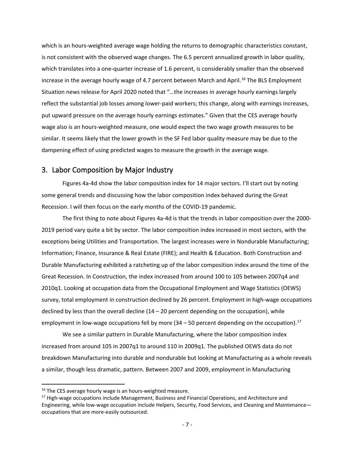which is an hours-weighted average wage holding the returns to demographic characteristics constant, is not consistent with the observed wage changes. The 6.5 percent annualized growth in labor quality, which translates into a one-quarter increase of 1.6 percent, is considerably smaller than the observed increase in the average hourly wage of 4.7 percent between March and April.<sup>[16](#page-8-0)</sup> The BLS Employment Situation news release for April 2020 noted that "…the increases in average hourly earnings largely reflect the substantial job losses among lower-paid workers; this change, along with earnings increases, put upward pressure on the average hourly earnings estimates." Given that the CES average hourly wage also is an hours-weighted measure, one would expect the two wage growth measures to be similar. It seems likely that the lower growth in the SF Fed labor quality measure may be due to the dampening effect of using predicted wages to measure the growth in the average wage.

## 3. Labor Composition by Major Industry

Figures 4a-4d show the labor composition index for 14 major sectors. I'll start out by noting some general trends and discussing how the labor composition index behaved during the Great Recession. I will then focus on the early months of the COVID-19 pandemic.

The first thing to note about Figures 4a-4d is that the trends in labor composition over the 2000- 2019 period vary quite a bit by sector. The labor composition index increased in most sectors, with the exceptions being Utilities and Transportation. The largest increases were in Nondurable Manufacturing; Information; Finance, Insurance & Real Estate (FIRE); and Health & Education. Both Construction and Durable Manufacturing exhibited a ratcheting up of the labor composition index around the time of the Great Recession. In Construction, the index increased from around 100 to 105 between 2007q4 and 2010q1. Looking at occupation data from the Occupational Employment and Wage Statistics (OEWS) survey, total employment in construction declined by 26 percent. Employment in high-wage occupations declined by less than the overall decline  $(14 – 20$  percent depending on the occupation), while employment in low-wage occupations fell by more  $(34 - 50$  percent depending on the occupation).<sup>[17](#page-8-1)</sup>

We see a similar pattern in Durable Manufacturing, where the labor composition index increased from around 105 in 2007q1 to around 110 in 2009q1. The published OEWS data do not breakdown Manufacturing into durable and nondurable but looking at Manufacturing as a whole reveals a similar, though less dramatic, pattern. Between 2007 and 2009, employment in Manufacturing

<span id="page-8-0"></span><sup>&</sup>lt;sup>16</sup> The CES average hourly wage is an hours-weighted measure.

<span id="page-8-1"></span><sup>&</sup>lt;sup>17</sup> High-wage occupations include Management, Business and Financial Operations, and Architecture and Engineering, while low-wage occupation include Helpers, Security, Food Services, and Cleaning and Maintenance occupations that are more-easily outsourced.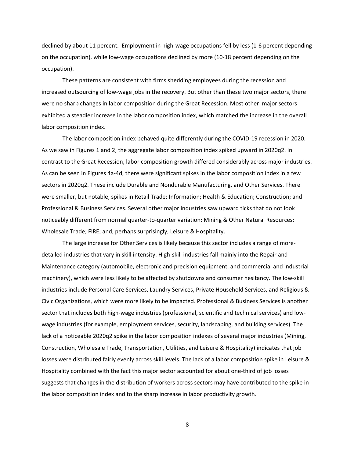declined by about 11 percent. Employment in high-wage occupations fell by less (1-6 percent depending on the occupation), while low-wage occupations declined by more (10-18 percent depending on the occupation).

These patterns are consistent with firms shedding employees during the recession and increased outsourcing of low-wage jobs in the recovery. But other than these two major sectors, there were no sharp changes in labor composition during the Great Recession. Most other major sectors exhibited a steadier increase in the labor composition index, which matched the increase in the overall labor composition index.

The labor composition index behaved quite differently during the COVID-19 recession in 2020. As we saw in Figures 1 and 2, the aggregate labor composition index spiked upward in 2020q2. In contrast to the Great Recession, labor composition growth differed considerably across major industries. As can be seen in Figures 4a-4d, there were significant spikes in the labor composition index in a few sectors in 2020q2. These include Durable and Nondurable Manufacturing, and Other Services. There were smaller, but notable, spikes in Retail Trade; Information; Health & Education; Construction; and Professional & Business Services. Several other major industries saw upward ticks that do not look noticeably different from normal quarter-to-quarter variation: Mining & Other Natural Resources; Wholesale Trade; FIRE; and, perhaps surprisingly, Leisure & Hospitality.

The large increase for Other Services is likely because this sector includes a range of moredetailed industries that vary in skill intensity. High-skill industries fall mainly into the Repair and Maintenance category (automobile, electronic and precision equipment, and commercial and industrial machinery), which were less likely to be affected by shutdowns and consumer hesitancy. The low-skill industries include Personal Care Services, Laundry Services, Private Household Services, and Religious & Civic Organizations, which were more likely to be impacted. Professional & Business Services is another sector that includes both high-wage industries (professional, scientific and technical services) and lowwage industries (for example, employment services, security, landscaping, and building services). The lack of a noticeable 2020q2 spike in the labor composition indexes of several major industries (Mining, Construction, Wholesale Trade, Transportation, Utilities, and Leisure & Hospitality) indicates that job losses were distributed fairly evenly across skill levels. The lack of a labor composition spike in Leisure & Hospitality combined with the fact this major sector accounted for about one-third of job losses suggests that changes in the distribution of workers across sectors may have contributed to the spike in the labor composition index and to the sharp increase in labor productivity growth.

- 8 -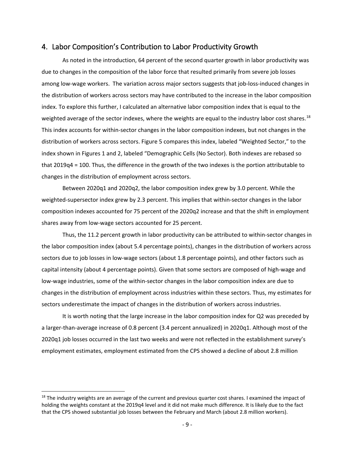#### 4. Labor Composition's Contribution to Labor Productivity Growth

As noted in the introduction, 64 percent of the second quarter growth in labor productivity was due to changes in the composition of the labor force that resulted primarily from severe job losses among low-wage workers. The variation across major sectors suggests that job-loss-induced changes in the distribution of workers across sectors may have contributed to the increase in the labor composition index. To explore this further, I calculated an alternative labor composition index that is equal to the weighted average of the sector indexes, where the weights are equal to the industry labor cost shares.<sup>[18](#page-10-0)</sup> This index accounts for within-sector changes in the labor composition indexes, but not changes in the distribution of workers across sectors. Figure 5 compares this index, labeled "Weighted Sector," to the index shown in Figures 1 and 2, labeled "Demographic Cells (No Sector). Both indexes are rebased so that 2019q4 = 100. Thus, the difference in the growth of the two indexes is the portion attributable to changes in the distribution of employment across sectors.

Between 2020q1 and 2020q2, the labor composition index grew by 3.0 percent. While the weighted-supersector index grew by 2.3 percent. This implies that within-sector changes in the labor composition indexes accounted for 75 percent of the 2020q2 increase and that the shift in employment shares away from low-wage sectors accounted for 25 percent.

Thus, the 11.2 percent growth in labor productivity can be attributed to within-sector changes in the labor composition index (about 5.4 percentage points), changes in the distribution of workers across sectors due to job losses in low-wage sectors (about 1.8 percentage points), and other factors such as capital intensity (about 4 percentage points). Given that some sectors are composed of high-wage and low-wage industries, some of the within-sector changes in the labor composition index are due to changes in the distribution of employment across industries within these sectors. Thus, my estimates for sectors underestimate the impact of changes in the distribution of workers across industries.

It is worth noting that the large increase in the labor composition index for Q2 was preceded by a larger-than-average increase of 0.8 percent (3.4 percent annualized) in 2020q1. Although most of the 2020q1 job losses occurred in the last two weeks and were not reflected in the establishment survey's employment estimates, employment estimated from the CPS showed a decline of about 2.8 million

<span id="page-10-0"></span> $18$  The industry weights are an average of the current and previous quarter cost shares. I examined the impact of holding the weights constant at the 2019q4 level and it did not make much difference. It is likely due to the fact that the CPS showed substantial job losses between the February and March (about 2.8 million workers).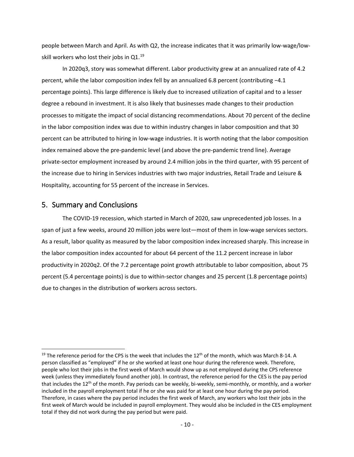people between March and April. As with Q2, the increase indicates that it was primarily low-wage/lowskill workers who lost their jobs in Q1. $^{19}$ 

In 2020q3, story was somewhat different. Labor productivity grew at an annualized rate of 4.2 percent, while the labor composition index fell by an annualized 6.8 percent (contributing −4.1 percentage points). This large difference is likely due to increased utilization of capital and to a lesser degree a rebound in investment. It is also likely that businesses made changes to their production processes to mitigate the impact of social distancing recommendations. About 70 percent of the decline in the labor composition index was due to within industry changes in labor composition and that 30 percent can be attributed to hiring in low-wage industries. It is worth noting that the labor composition index remained above the pre-pandemic level (and above the pre-pandemic trend line). Average private-sector employment increased by around 2.4 million jobs in the third quarter, with 95 percent of the increase due to hiring in Services industries with two major industries, Retail Trade and Leisure & Hospitality, accounting for 55 percent of the increase in Services.

#### 5. Summary and Conclusions

The COVID-19 recession, which started in March of 2020, saw unprecedented job losses. In a span of just a few weeks, around 20 million jobs were lost—most of them in low-wage services sectors. As a result, labor quality as measured by the labor composition index increased sharply. This increase in the labor composition index accounted for about 64 percent of the 11.2 percent increase in labor productivity in 2020q2. Of the 7.2 percentage point growth attributable to labor composition, about 75 percent (5.4 percentage points) is due to within-sector changes and 25 percent (1.8 percentage points) due to changes in the distribution of workers across sectors.

<span id="page-11-0"></span><sup>&</sup>lt;sup>19</sup> The reference period for the CPS is the week that includes the  $12<sup>th</sup>$  of the month, which was March 8-14. A person classified as "employed" if he or she worked at least one hour during the reference week. Therefore, people who lost their jobs in the first week of March would show up as not employed during the CPS reference week (unless they immediately found another job). In contrast, the reference period for the CES is the pay period that includes the  $12^{th}$  of the month. Pay periods can be weekly, bi-weekly, semi-monthly, or monthly, and a worker included in the payroll employment total if he or she was paid for at least one hour during the pay period. Therefore, in cases where the pay period includes the first week of March, any workers who lost their jobs in the first week of March would be included in payroll employment. They would also be included in the CES employment total if they did not work during the pay period but were paid.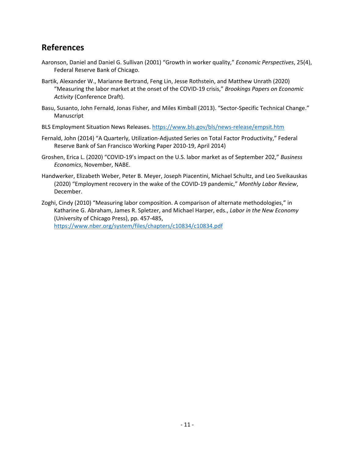# **References**

- Aaronson, Daniel and Daniel G. Sullivan (2001) "Growth in worker quality," *Economic Perspectives*, 25(4), Federal Reserve Bank of Chicago.
- Bartik, Alexander W., Marianne Bertrand, Feng Lin, Jesse Rothstein, and Matthew Unrath (2020) "Measuring the labor market at the onset of the COVID-19 crisis," *Brookings Papers on Economic Activity* (Conference Draft).
- Basu, Susanto, John Fernald, Jonas Fisher, and Miles Kimball (2013). "Sector-Specific Technical Change." Manuscript
- BLS Employment Situation News Releases. <https://www.bls.gov/bls/news-release/empsit.htm>
- Fernald, John (2014) "A Quarterly, Utilization-Adjusted Series on Total Factor Productivity," Federal Reserve Bank of San Francisco Working Paper 2010-19, April 2014)
- Groshen, Erica L. (2020) "COVID-19's impact on the U.S. labor market as of September 202," *Business Economics*, November, NABE.
- Handwerker, Elizabeth Weber, Peter B. Meyer, Joseph Piacentini, Michael Schultz, and Leo Sveikauskas (2020) "Employment recovery in the wake of the COVID-19 pandemic," *Monthly Labor Review*, December.
- Zoghi, Cindy (2010) "Measuring labor composition. A comparison of alternate methodologies," in Katharine G. Abraham, James R. Spletzer, and Michael Harper, eds., *Labor in the New Economy* (University of Chicago Press), pp. 457-485, <https://www.nber.org/system/files/chapters/c10834/c10834.pdf>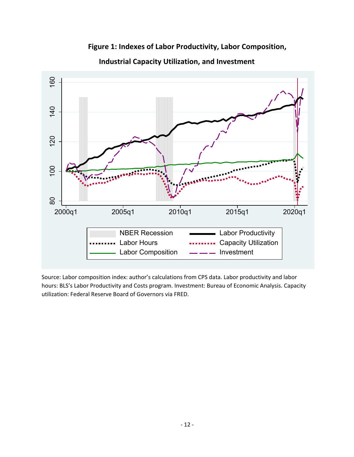

**Figure 1: Indexes of Labor Productivity, Labor Composition, Industrial Capacity Utilization, and Investment**

Source: Labor composition index: author's calculations from CPS data. Labor productivity and labor hours: BLS's Labor Productivity and Costs program. Investment: Bureau of Economic Analysis. Capacity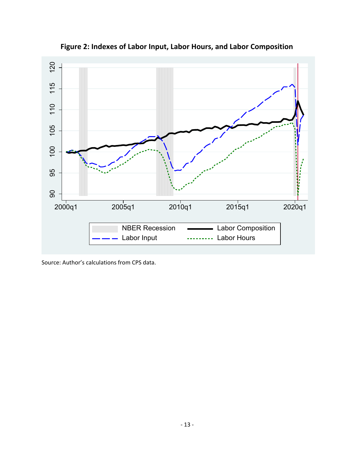

**Figure 2: Indexes of Labor Input, Labor Hours, and Labor Composition**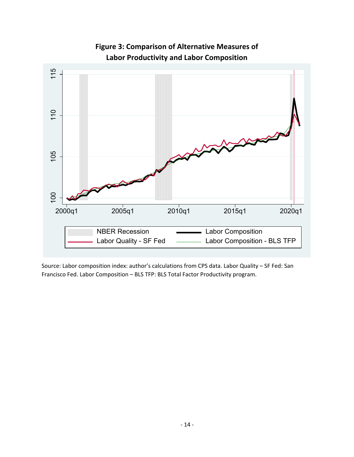

**Figure 3: Comparison of Alternative Measures of Labor Productivity and Labor Composition**

Source: Labor composition index: author's calculations from CPS data. Labor Quality – SF Fed: San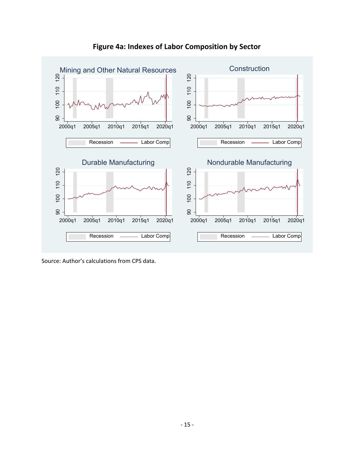

## **Figure 4a: Indexes of Labor Composition by Sector**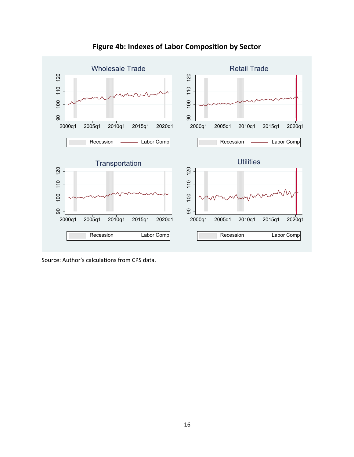

**Figure 4b: Indexes of Labor Composition by Sector**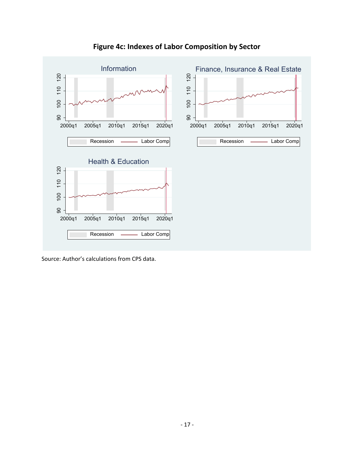

## **Figure 4c: Indexes of Labor Composition by Sector**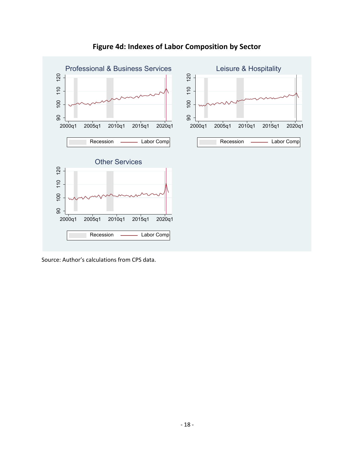

## **Figure 4d: Indexes of Labor Composition by Sector**